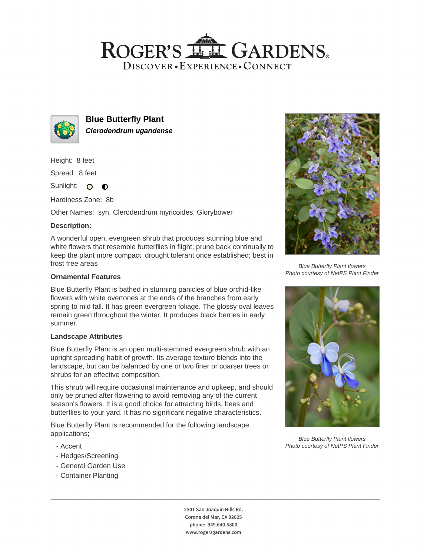## ROGER'S LL GARDENS. DISCOVER · EXPERIENCE · CONNECT



**Blue Butterfly Plant Clerodendrum ugandense**

Height: 8 feet

Spread: 8 feet

Sunlight: O **O** 

Hardiness Zone: 8b

Other Names: syn. Clerodendrum myricoides, Glorybower

### **Description:**

A wonderful open, evergreen shrub that produces stunning blue and white flowers that resemble butterflies in flight; prune back continually to keep the plant more compact; drought tolerant once established; best in frost free areas

#### **Ornamental Features**

Blue Butterfly Plant is bathed in stunning panicles of blue orchid-like flowers with white overtones at the ends of the branches from early spring to mid fall. It has green evergreen foliage. The glossy oval leaves remain green throughout the winter. It produces black berries in early summer.

#### **Landscape Attributes**

Blue Butterfly Plant is an open multi-stemmed evergreen shrub with an upright spreading habit of growth. Its average texture blends into the landscape, but can be balanced by one or two finer or coarser trees or shrubs for an effective composition.

This shrub will require occasional maintenance and upkeep, and should only be pruned after flowering to avoid removing any of the current season's flowers. It is a good choice for attracting birds, bees and butterflies to your yard. It has no significant negative characteristics.

Blue Butterfly Plant is recommended for the following landscape applications;

- Accent
- Hedges/Screening
- General Garden Use
- Container Planting



Blue Butterfly Plant flowers Photo courtesy of NetPS Plant Finder



Blue Butterfly Plant flowers Photo courtesy of NetPS Plant Finder

2301 San Joaquin Hills Rd. Corona del Mar, CA 92625 phone: 949.640.5800 www.rogersgardens.com